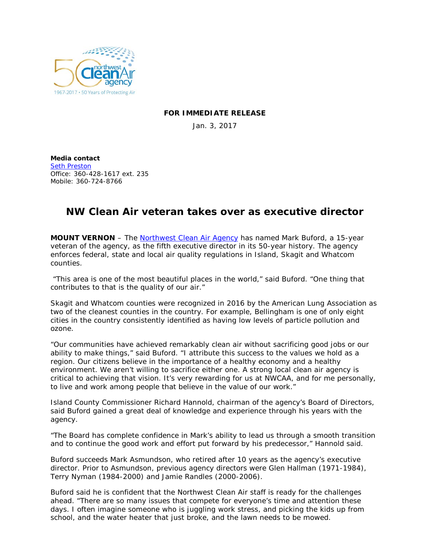

## **FOR IMMEDIATE RELEASE**

Jan. 3, 2017

**Media contact** [Seth Preston](mailto:sethp@nwcleanairwa.gov) Office: 360-428-1617 ext. 235 Mobile: 360-724-8766

## **NW Clean Air veteran takes over as executive director**

**MOUNT VERNON** – The **Northwest Clean Air Agency** has named Mark Buford, a 15-year veteran of the agency, as the fifth executive director in its 50-year history. The agency enforces federal, state and local air quality regulations in Island, Skagit and Whatcom counties.

"This area is one of the most beautiful places in the world," said Buford. "One thing that contributes to that is the quality of our air."

Skagit and Whatcom counties were recognized in 2016 by the American Lung Association as two of the cleanest counties in the country. For example, Bellingham is one of only eight cities in the country consistently identified as having low levels of particle pollution and ozone.

"Our communities have achieved remarkably clean air without sacrificing good jobs or our ability to make things," said Buford. "I attribute this success to the values we hold as a region. Our citizens believe in the importance of a healthy economy *and* a healthy environment. We aren't willing to sacrifice either one. A strong local clean air agency is critical to achieving that vision. It's very rewarding for us at NWCAA, and for me personally, to live and work among people that believe in the value of our work."

Island County Commissioner Richard Hannold, chairman of the agency's Board of Directors, said Buford gained a great deal of knowledge and experience through his years with the agency.

"The Board has complete confidence in Mark's ability to lead us through a smooth transition and to continue the good work and effort put forward by his predecessor," Hannold said.

Buford succeeds Mark Asmundson, who retired after 10 years as the agency's executive director. Prior to Asmundson, previous agency directors were Glen Hallman (1971-1984), Terry Nyman (1984-2000) and Jamie Randles (2000-2006).

Buford said he is confident that the Northwest Clean Air staff is ready for the challenges ahead. "There are so many issues that compete for everyone's time and attention these days. I often imagine someone who is juggling work stress, and picking the kids up from school, and the water heater that just broke, and the lawn needs to be mowed.